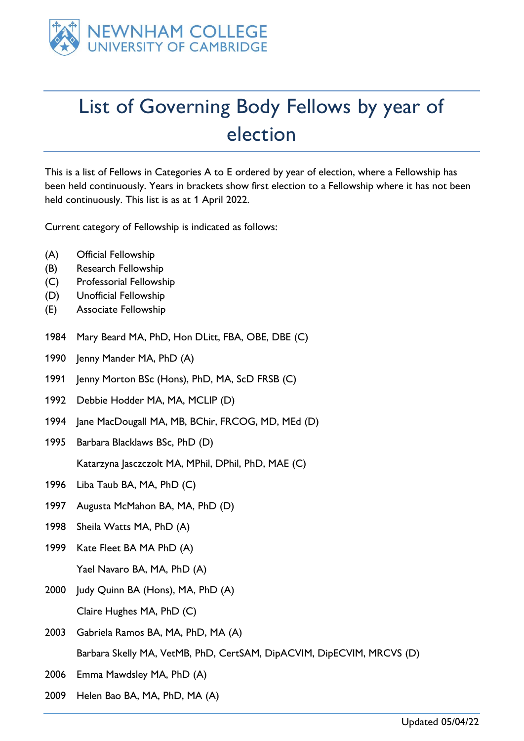

## List of Governing Body Fellows by year of election

This is a list of Fellows in Categories A to E ordered by year of election, where a Fellowship has been held continuously. Years in brackets show first election to a Fellowship where it has not been held continuously. This list is as at 1 April 2022.

Current category of Fellowship is indicated as follows:

- (A) Official Fellowship
- (B) Research Fellowship
- (C) Professorial Fellowship
- (D) Unofficial Fellowship
- (E) Associate Fellowship
- 1984 Mary Beard MA, PhD, Hon DLitt, FBA, OBE, DBE (C)
- 1990 Jenny Mander MA, PhD (A)
- 1991 Jenny Morton BSc (Hons), PhD, MA, ScD FRSB (C)
- 1992 Debbie Hodder MA, MA, MCLIP (D)
- 1994 Jane MacDougall MA, MB, BChir, FRCOG, MD, MEd (D)
- 1995 Barbara Blacklaws BSc, PhD (D)

Katarzyna Jasczczolt MA, MPhil, DPhil, PhD, MAE (C)

- 1996 Liba Taub BA, MA, PhD (C)
- 1997 Augusta McMahon BA, MA, PhD (D)
- 1998 Sheila Watts MA, PhD (A)
- 1999 Kate Fleet BA MA PhD (A)

Yael Navaro BA, MA, PhD (A)

- 2000 Judy Quinn BA (Hons), MA, PhD (A) Claire Hughes MA, PhD (C)
- 2003 Gabriela Ramos BA, MA, PhD, MA (A) Barbara Skelly MA, VetMB, PhD, CertSAM, DipACVIM, DipECVIM, MRCVS (D)
- 2006 Emma Mawdsley MA, PhD (A)
- 2009 Helen Bao BA, MA, PhD, MA (A)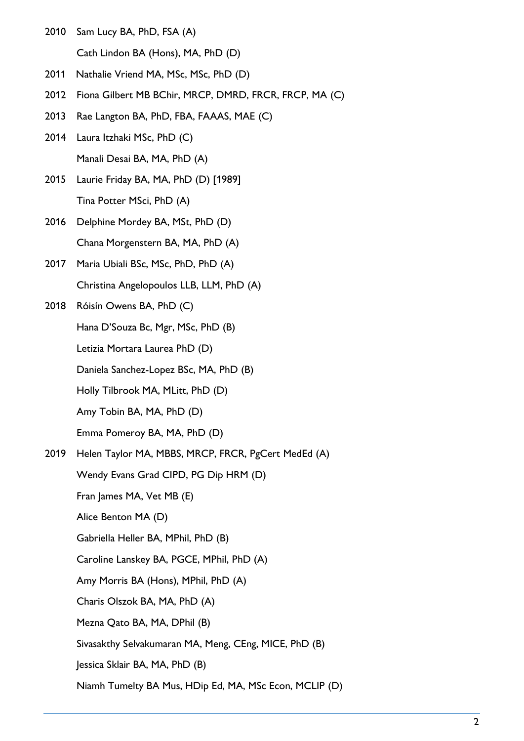- 2010 Sam Lucy BA, PhD, FSA (A) Cath Lindon BA (Hons), MA, PhD (D)
- 2011 Nathalie Vriend MA, MSc, MSc, PhD (D)
- 2012 Fiona Gilbert MB BChir, MRCP, DMRD, FRCR, FRCP, MA (C)
- 2013 Rae Langton BA, PhD, FBA, FAAAS, MAE (C)
- 2014 Laura Itzhaki MSc, PhD (C) Manali Desai BA, MA, PhD (A)
- 2015 Laurie Friday BA, MA, PhD (D) [1989] Tina Potter MSci, PhD (A)
- 2016 Delphine Mordey BA, MSt, PhD (D) Chana Morgenstern BA, MA, PhD (A)
- 2017 Maria Ubiali BSc, MSc, PhD, PhD (A) Christina Angelopoulos LLB, LLM, PhD (A)
- 2018 Róisín Owens BA, PhD (C)
	- Hana D'Souza Bc, Mgr, MSc, PhD (B)
	- Letizia Mortara Laurea PhD (D)
	- Daniela Sanchez-Lopez BSc, MA, PhD (B)
	- Holly Tilbrook MA, MLitt, PhD (D)
	- Amy Tobin BA, MA, PhD (D)
	- Emma Pomeroy BA, MA, PhD (D)
- 2019 Helen Taylor MA, MBBS, MRCP, FRCR, PgCert MedEd (A) Wendy Evans Grad CIPD, PG Dip HRM (D) Fran James MA, Vet MB (E) Alice Benton MA (D) Gabriella Heller BA, MPhil, PhD (B) Caroline Lanskey BA, PGCE, MPhil, PhD (A) Amy Morris BA (Hons), MPhil, PhD (A) Charis Olszok BA, MA, PhD (A) Mezna Qato BA, MA, DPhil (B) Sivasakthy Selvakumaran MA, Meng, CEng, MICE, PhD (B) Jessica Sklair BA, MA, PhD (B)
	- Niamh Tumelty BA Mus, HDip Ed, MA, MSc Econ, MCLIP (D)